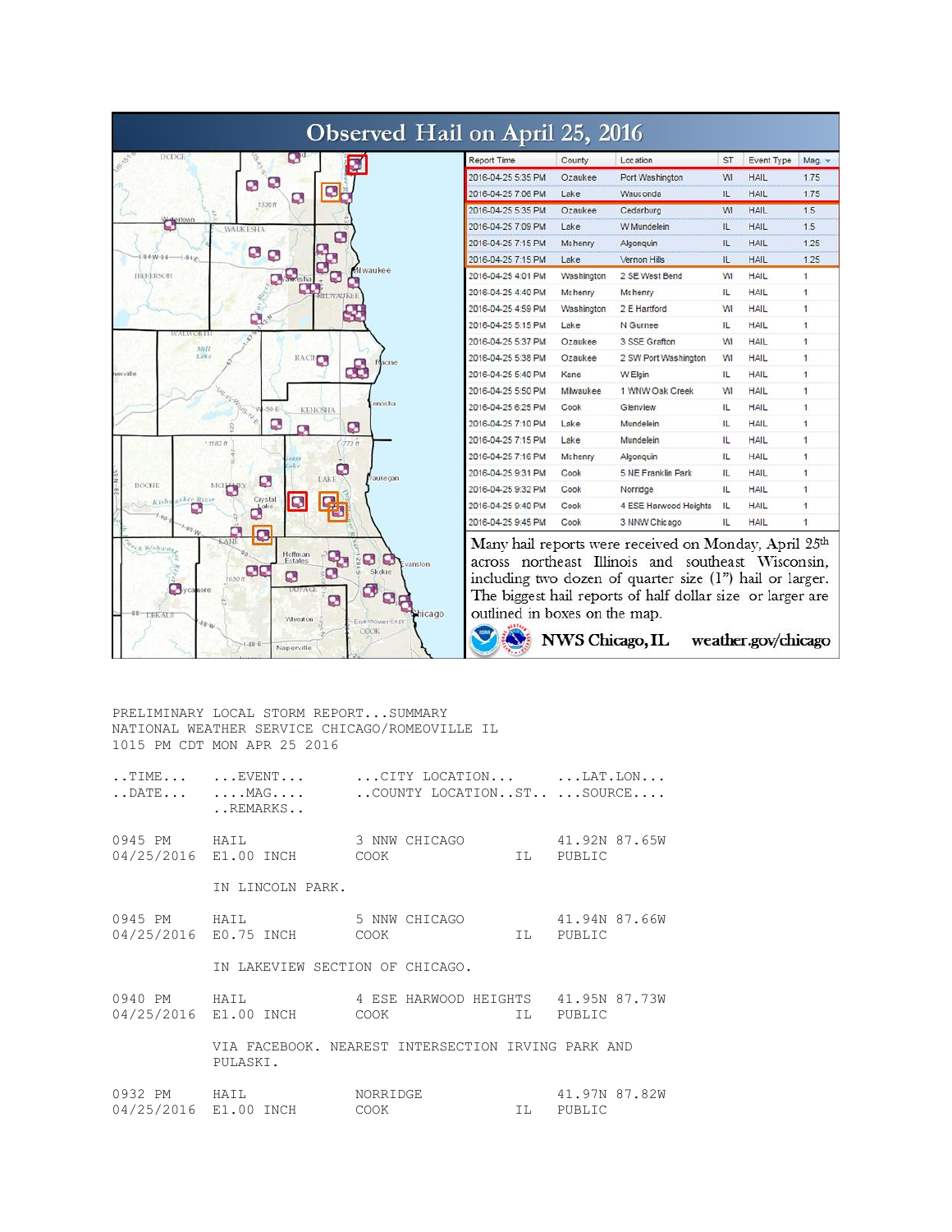| Observed Hail on April 25, 2016                                                                                                                                                                                                                                                            |                               |            |                                                                                                                                                                                                                                                                              |                |             |                         |
|--------------------------------------------------------------------------------------------------------------------------------------------------------------------------------------------------------------------------------------------------------------------------------------------|-------------------------------|------------|------------------------------------------------------------------------------------------------------------------------------------------------------------------------------------------------------------------------------------------------------------------------------|----------------|-------------|-------------------------|
| <b>DODGE</b>                                                                                                                                                                                                                                                                               | <b>Report Time</b>            | County     | Location                                                                                                                                                                                                                                                                     | ST             | Event Type  | Mag.                    |
| D                                                                                                                                                                                                                                                                                          | 2016-04-25 5:35 PM            | Ozaukee    | Port Washington                                                                                                                                                                                                                                                              | WI             | <b>HAIL</b> | 1.75                    |
| Ø<br>Q<br>9                                                                                                                                                                                                                                                                                | 2016-04-25 7:06 PM            | Lake       | Wauc onda                                                                                                                                                                                                                                                                    | IL.            | <b>HAIL</b> | 1.75                    |
| 1336ff                                                                                                                                                                                                                                                                                     | 2016-04-25 5:35 PM            | Ozaukee    | Cedarburg                                                                                                                                                                                                                                                                    | WI             | <b>HAIL</b> | 1.5                     |
| dertown<br><b>WAUKESHA</b>                                                                                                                                                                                                                                                                 | 2016-04-25 7:09 PM            | Lake       | W Mundelein                                                                                                                                                                                                                                                                  | Ш.             | <b>HAIL</b> | 1.5                     |
| O                                                                                                                                                                                                                                                                                          | 2016-04-25 7:15 PM            | Mchenry    | Algonquin                                                                                                                                                                                                                                                                    | IL             | <b>HAIL</b> | 1.25                    |
| Ø<br>$\Omega$<br>$W - 0.4$                                                                                                                                                                                                                                                                 | 2016-04-25 7:15 PM            | Lake       | Vernon Hills                                                                                                                                                                                                                                                                 | $\mathbf{H}$ . | <b>HAIL</b> | 1.25                    |
| Milwaukee<br>$\mathbf{D}$ <sub>sha</sub><br><b>JEEFERSON</b>                                                                                                                                                                                                                               | 2016-04-25 4:01 PM            | Washington | 2 SE West Bend                                                                                                                                                                                                                                                               | <b>WI</b>      | HAIL        | $\mathbf{1}$            |
|                                                                                                                                                                                                                                                                                            | 2016-04-25 4:40 PM            | Mchenry    | <b>Mchenry</b>                                                                                                                                                                                                                                                               | IL             | <b>HAIL</b> | $\overline{1}$          |
|                                                                                                                                                                                                                                                                                            | 2016-04-25 4:59 PM            | Washington | 2 E Hartford                                                                                                                                                                                                                                                                 | <b>WI</b>      | <b>HAIL</b> | 1                       |
| Q.                                                                                                                                                                                                                                                                                         | 2016-04-25 5:15 PM            | Lake       | N Gurnee                                                                                                                                                                                                                                                                     | ш              | HAIL        | 1                       |
| WALV<br>5<br>Mill                                                                                                                                                                                                                                                                          | 2016-04-25 5:37 PM            | Ozaukee    | 3 SSE Grafton                                                                                                                                                                                                                                                                | <b>WI</b>      | HAIL        | $\ddot{\phantom{1}}$    |
| Lake<br>RACIP                                                                                                                                                                                                                                                                              | 2016-04-25 5:38 PM            | Ozaukee    | 2 SW Port Washington                                                                                                                                                                                                                                                         | WI             | <b>HAIL</b> | ł.                      |
| æ<br>hosville                                                                                                                                                                                                                                                                              | 2016-04-25 5:40 PM            | Kane       | W Elgin                                                                                                                                                                                                                                                                      | IL             | HAIL        | 1                       |
|                                                                                                                                                                                                                                                                                            | 2016-04-25 5:50 PM            | Milwaukee  | 1 WNW Oak Creek                                                                                                                                                                                                                                                              | <b>WI</b>      | <b>HAIL</b> | $\overline{\mathbf{1}}$ |
| $\alpha_{2}$<br>enosha<br>$-50 - E$<br><b>KENOSHA</b>                                                                                                                                                                                                                                      | 2016-04-25 6:25 PM            | Cook       | Glenview                                                                                                                                                                                                                                                                     | IL.            | <b>HAIL</b> | 1                       |
| B<br>Ø                                                                                                                                                                                                                                                                                     | 2016-04-25 7:10 PM            | Lake       | Mundelein                                                                                                                                                                                                                                                                    | Ш.             | HAIL        | 1                       |
| $: 1182 \text{ ft}$<br>772.ft                                                                                                                                                                                                                                                              | 2016-04-25 7:15 PM            | Lake       | Mundelein                                                                                                                                                                                                                                                                    | 11             | <b>HAIL</b> | 1                       |
|                                                                                                                                                                                                                                                                                            | 2016-04-25 7:16 PM            | Mchenry    | Algonquin                                                                                                                                                                                                                                                                    | $\mathbf{L}$   | <b>HAIL</b> | 1                       |
| Vaukegan<br>LAKE                                                                                                                                                                                                                                                                           | 2016-04-25 9:31 PM            | Cook       | 5 NE Franklin Park                                                                                                                                                                                                                                                           | Ш.             | HAIL        | $\mathbf{1}$            |
| c<br>BOONE<br>MOP                                                                                                                                                                                                                                                                          | 2016-04-25 9:32 PM            | Cook       | Norridge                                                                                                                                                                                                                                                                     | Ш.             | HAIL        |                         |
| kee River<br>Crystal<br>O <sup>ake</sup><br>Kish<br>ο                                                                                                                                                                                                                                      | 2016-04-25 9:40 PM            | Cook       | 4 ESE Harwood Heights                                                                                                                                                                                                                                                        | IL             | <b>HAIL</b> | 1                       |
| $\epsilon_{g_0}$                                                                                                                                                                                                                                                                           | 2016-04-25 9:45 PM            | Cook       | 3 NNW Chicago                                                                                                                                                                                                                                                                | IL             | HAIL        | 4                       |
| tech Kishway<br>Hoffm an<br>٩,<br>Ø<br>ø<br>Estates<br>Evanston<br>œ<br>Skokie<br>Ø<br>Q<br><b>Bycanore</b><br>σ<br><b>DUPACI</b><br>$\mathbf{B}$<br>$\mathbf \Omega$<br>Chicago<br>$88 -$<br><b>DEKALE</b><br>Wheaton<br>Fisenhower Exp<br>$88 - W$<br>CÓOK<br>$1 - 88 - E$<br>Naperville | outlined in boxes on the map. |            | Many hail reports were received on Monday, April 25th<br>across northeast Illinois and southeast Wisconsin,<br>including two dozen of quarter size (1") hail or larger.<br>The biggest hail reports of half dollar size or larger are<br>NWS Chicago, IL weather.gov/chicago |                |             |                         |

PRELIMINARY LOCAL STORM REPORT...SUMMARY NATIONAL WEATHER SERVICE CHICAGO/ROMEOVILLE IL 1015 PM CDT MON APR 25 2016

| REMARKS                         | $\dots \texttt{TIME} \dots \qquad \dots \texttt{EVENT} \dots \qquad \dots \texttt{CITY LOGATION} \dots \qquad \dots \texttt{LAT} \dots \texttt{ON} \dots$<br>$\ldots$ DATE $\ldots$ MAG $\ldots$ . COUNTY LOCATIONST $\ldots$ SOURCE |           |
|---------------------------------|--------------------------------------------------------------------------------------------------------------------------------------------------------------------------------------------------------------------------------------|-----------|
|                                 | 0945 PM HAIL 3 NNW CHICAGO 41.92N 87.65W<br>04/25/2016 E1.00 INCH COOK IL PUBLIC                                                                                                                                                     |           |
| IN LINCOLN PARK.                |                                                                                                                                                                                                                                      |           |
| 04/25/2016 E0.75 INCH COOK      | 0945 PM HAIL 5 NNW CHICAGO 41.94N 87.66W                                                                                                                                                                                             | IL PUBLIC |
| IN LAKEVIEW SECTION OF CHICAGO. |                                                                                                                                                                                                                                      |           |
|                                 | 0940 PM HAIL 4 ESE HARWOOD HEIGHTS 41.95N 87.73W<br>04/25/2016 E1.00 INCH COOK                                                                                                                                                       | IL PUBLIC |
| PULASKI.                        | VIA FACEBOOK. NEAREST INTERSECTION IRVING PARK AND                                                                                                                                                                                   |           |
|                                 | 0932 PM HAIL NORRIDGE 41.97N 87.82W<br>04/25/2016 E1.00 INCH COOK                                                                                                                                                                    | IL PUBLIC |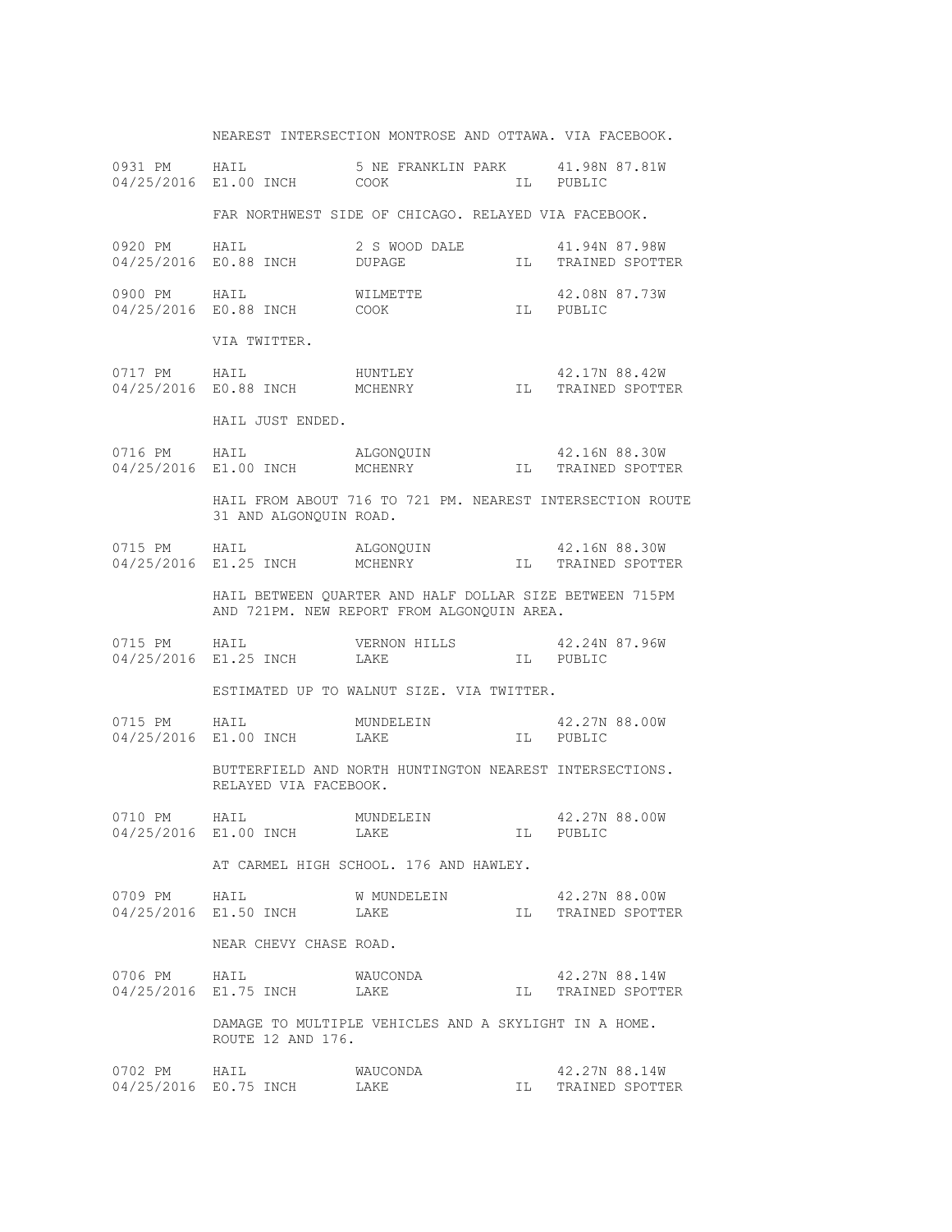|              |                                                                                     | NEAREST INTERSECTION MONTROSE AND OTTAWA. VIA FACEBOOK.                                                                                                            |  |                                     |  |  |
|--------------|-------------------------------------------------------------------------------------|--------------------------------------------------------------------------------------------------------------------------------------------------------------------|--|-------------------------------------|--|--|
|              |                                                                                     | 0931 PM HAIL 5 NE FRANKLIN PARK 41.98N 87.81W<br>04/25/2016 E1.00 INCH COOK IL PUBLIC                                                                              |  |                                     |  |  |
|              |                                                                                     | FAR NORTHWEST SIDE OF CHICAGO. RELAYED VIA FACEBOOK.                                                                                                               |  |                                     |  |  |
|              |                                                                                     | 0920 PM HAIL 2 S WOOD DALE 41.94N 87.98W<br>$04/25/2016 \quad \text{E0.88 INCH} \qquad \qquad \text{DUPAGE} \qquad \qquad \text{IL} \qquad \text{TRAINED SPORTER}$ |  |                                     |  |  |
|              |                                                                                     | 0900 PM HAIL WILMETTE 42.08N<br>04/25/2016 E0.88 INCH COOK IL PUBLIC                                                                                               |  | 42.08N 87.73W                       |  |  |
|              | VIA TWITTER.                                                                        |                                                                                                                                                                    |  |                                     |  |  |
|              |                                                                                     | 0717 PM HAIL HUNTLEY 42.17N 88.42W<br>04/25/2016 E0.88 INCH MCHENRY IL TRAINED SPOTTER                                                                             |  |                                     |  |  |
|              | HAIL JUST ENDED.                                                                    |                                                                                                                                                                    |  |                                     |  |  |
|              |                                                                                     | 0716 PM HAIL ALGONQUIN 42.16N 88.30W<br>04/25/2016 E1.00 INCH MCHENRY MCHENRY IL TRAINED SPOTTER                                                                   |  |                                     |  |  |
|              | HAIL FROM ABOUT 716 TO 721 PM. NEAREST INTERSECTION ROUTE<br>31 AND ALGONQUIN ROAD. |                                                                                                                                                                    |  |                                     |  |  |
|              |                                                                                     | 0715 PM HAIL ALGONQUIN 42.16N 88.30W<br>04/25/2016 E1.25 INCH MCHENRY IL TRAINED SPOTTER                                                                           |  |                                     |  |  |
|              |                                                                                     | HAIL BETWEEN QUARTER AND HALF DOLLAR SIZE BETWEEN 715PM<br>AND 721PM. NEW REPORT FROM ALGONQUIN AREA.                                                              |  |                                     |  |  |
|              |                                                                                     | 0715 PM HAIL VERNON HILLS 42.24N 87.96W<br>04/25/2016 E1.25 INCH LAKE IL PUBLIC                                                                                    |  |                                     |  |  |
|              |                                                                                     | ESTIMATED UP TO WALNUT SIZE. VIA TWITTER.                                                                                                                          |  |                                     |  |  |
|              |                                                                                     | 0715 PM HAIL MUNDELEIN 42.27N 88.00W<br>04/25/2016 E1.00 INCH LAKE IL PUBLIC                                                                                       |  |                                     |  |  |
|              | BUTTERFIELD AND NORTH HUNTINGTON NEAREST INTERSECTIONS.<br>RELAYED VIA FACEBOOK.    |                                                                                                                                                                    |  |                                     |  |  |
|              | 04/25/2016 E1.00 INCH LAKE                                                          | 0710 PM HAIL MUNDELEIN 42.27N 88.00W                                                                                                                               |  | IL PUBLIC                           |  |  |
|              | AT CARMEL HIGH SCHOOL. 176 AND HAWLEY.                                              |                                                                                                                                                                    |  |                                     |  |  |
|              | 0709 PM HAIL W MUNDELEIN<br>04/25/2016 E1.50 INCH LAKE                              |                                                                                                                                                                    |  | 42.27N 88.00W<br>IL TRAINED SPOTTER |  |  |
|              | NEAR CHEVY CHASE ROAD.                                                              |                                                                                                                                                                    |  |                                     |  |  |
|              | 0706 PM HAIL<br>04/25/2016 E1.75 INCH LAKE                                          | WAUCONDA                                                                                                                                                           |  | 42.27N 88.14W<br>IL TRAINED SPOTTER |  |  |
|              | DAMAGE TO MULTIPLE VEHICLES AND A SKYLIGHT IN A HOME.<br>ROUTE 12 AND 176.          |                                                                                                                                                                    |  |                                     |  |  |
| 0702 PM HAIL | 04/25/2016 E0.75 INCH                                                               | WAUCONDA<br>LAKE                                                                                                                                                   |  | 42.27N 88.14W<br>IL TRAINED SPOTTER |  |  |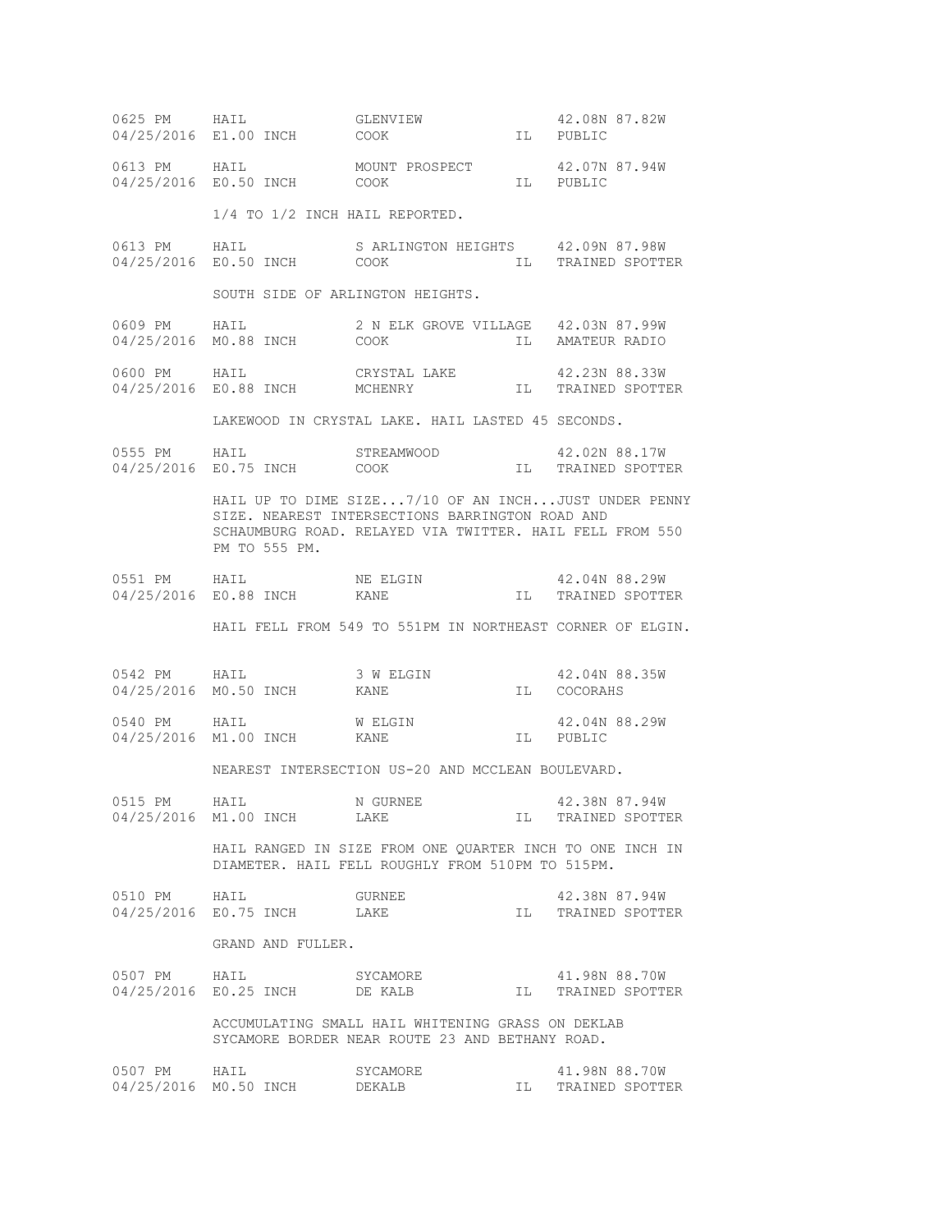|              | 0625 PM HAIL GLENVIEW<br>04/25/2016 E1.00 INCH COOK                                                                                                                                 | $\begin{array}{c}\n\text{IL}\n\end{array}$                                                                                                           |      | 42.08N 87.82W<br>IL PUBLIC       |  |
|--------------|-------------------------------------------------------------------------------------------------------------------------------------------------------------------------------------|------------------------------------------------------------------------------------------------------------------------------------------------------|------|----------------------------------|--|
|              |                                                                                                                                                                                     | $\begin{tabular}{llllll} 0613 PM & HAIL & MOUNT PROSPECT & 42.07N \\ 04/25/2016 & E0.50 INCH & COOK & IL & PUBLIC \end{tabular}$                     |      | 42.07N 87.94W                    |  |
|              | 1/4 TO 1/2 INCH HAIL REPORTED.                                                                                                                                                      |                                                                                                                                                      |      |                                  |  |
|              | 04/25/2016 E0.50 INCH COOK                                                                                                                                                          | 0613 PM HAIL SARLINGTON HEIGHTS 42.09N 87.98W                                                                                                        |      | IL TRAINED SPOTTER               |  |
|              |                                                                                                                                                                                     | SOUTH SIDE OF ARLINGTON HEIGHTS.                                                                                                                     |      |                                  |  |
|              | 0609 PM HAIL 2 N ELK GR<br>04/25/2016 M0.88 INCH COOK                                                                                                                               | 2 N ELK GROVE VILLAGE 42.03N 87.99W                                                                                                                  |      | IL AMATEUR RADIO                 |  |
|              |                                                                                                                                                                                     | $\begin{tabular}{llllll} 0600 PM & HAIL & CRYSTAL LAKE & 42.23N 88.33W \\ 04/25/2016 & E0.88 INCH & MCHENRY & IL & TRAINED SPORTER \\ \end{tabular}$ |      |                                  |  |
|              |                                                                                                                                                                                     | LAKEWOOD IN CRYSTAL LAKE. HAIL LASTED 45 SECONDS.                                                                                                    |      |                                  |  |
|              | 04/25/2016 E0.75 INCH COOK                                                                                                                                                          | 0555 PM HAIL STREAMWOOD 42.02N 88.17W                                                                                                                |      | IL TRAINED SPOTTER               |  |
|              | HAIL UP TO DIME SIZE7/10 OF AN INCHJUST UNDER PENNY<br>SIZE. NEAREST INTERSECTIONS BARRINGTON ROAD AND<br>SCHAUMBURG ROAD. RELAYED VIA TWITTER. HAIL FELL FROM 550<br>PM TO 555 PM. |                                                                                                                                                      |      |                                  |  |
|              |                                                                                                                                                                                     |                                                                                                                                                      |      |                                  |  |
|              |                                                                                                                                                                                     | HAIL FELL FROM 549 TO 551PM IN NORTHEAST CORNER OF ELGIN.                                                                                            |      |                                  |  |
|              | 04/25/2016 MO.50 INCH KANE                                                                                                                                                          | 0542 PM HAIL 3 W ELGIN 42.04N 88.35W                                                                                                                 |      | IL COCORAHS                      |  |
|              | 04/25/2016 M1.00 INCH KANE                                                                                                                                                          | 0540 PM HAIL WELGIN 42.04N 88.29W<br>04/25/2016 M1.00 INCH KANE IL PUBLIC                                                                            |      | IL PUBLIC                        |  |
|              | NEAREST INTERSECTION US-20 AND MCCLEAN BOULEVARD.                                                                                                                                   |                                                                                                                                                      |      |                                  |  |
|              | 0515 PM HAIL<br>04/25/2016 M1.00 INCH                                                                                                                                               | N GURNEE<br>LAKE                                                                                                                                     | IL   | 42.38N 87.94W<br>TRAINED SPOTTER |  |
|              | HAIL RANGED IN SIZE FROM ONE QUARTER INCH TO ONE INCH IN<br>DIAMETER. HAIL FELL ROUGHLY FROM 510PM TO 515PM.                                                                        |                                                                                                                                                      |      |                                  |  |
| 0510 PM HAIL | 04/25/2016 E0.75 INCH                                                                                                                                                               | GURNEE<br>LAKE                                                                                                                                       | IL.  | 42.38N 87.94W<br>TRAINED SPOTTER |  |
|              | GRAND AND FULLER.                                                                                                                                                                   |                                                                                                                                                      |      |                                  |  |
| 0507 PM HAIL | 04/25/2016 E0.25 INCH DE KALB                                                                                                                                                       | SYCAMORE                                                                                                                                             | TL 1 | 41.98N 88.70W<br>TRAINED SPOTTER |  |
|              | ACCUMULATING SMALL HAIL WHITENING GRASS ON DEKLAB<br>SYCAMORE BORDER NEAR ROUTE 23 AND BETHANY ROAD.                                                                                |                                                                                                                                                      |      |                                  |  |
| 0507 PM      | HAIL<br>04/25/2016 MO.50 INCH                                                                                                                                                       | SYCAMORE<br>DEKALB                                                                                                                                   | IL I | 41.98N 88.70W<br>TRAINED SPOTTER |  |